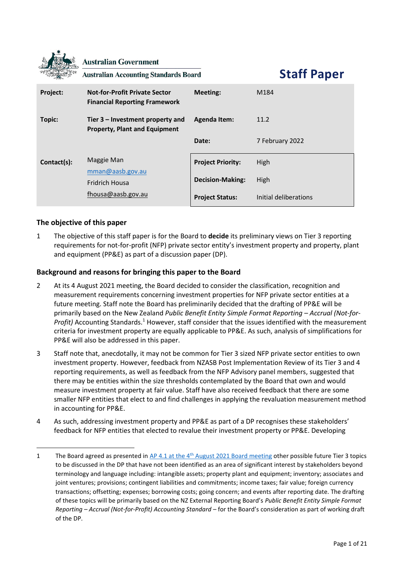|             | <b>Australian Government</b><br><b>Australian Accounting Standards Board</b> |                          | <b>Staff Paper</b>    |
|-------------|------------------------------------------------------------------------------|--------------------------|-----------------------|
| Project:    | <b>Not-for-Profit Private Sector</b><br><b>Financial Reporting Framework</b> | Meeting:                 | M184                  |
| Topic:      | Tier $3$ – Investment property and<br><b>Property, Plant and Equipment</b>   | <b>Agenda Item:</b>      | 11.2                  |
|             |                                                                              | Date:                    | 7 February 2022       |
| Contact(s): | Maggie Man                                                                   | <b>Project Priority:</b> | <b>High</b>           |
|             | mman@aash.gov.au<br><b>Fridrich Housa</b>                                    | <b>Decision-Making:</b>  | High                  |
|             | fhousa@aasb.gov.au                                                           | <b>Project Status:</b>   | Initial deliberations |

# **The objective of this paper**

1 The objective of this staff paper is for the Board to **decide** its preliminary views on Tier 3 reporting requirements for not-for-profit (NFP) private sector entity's investment property and property, plant and equipment (PP&E) as part of a discussion paper (DP).

# **Background and reasons for bringing this paper to the Board**

- 2 At its 4 August 2021 meeting, the Board decided to consider the classification, recognition and measurement requirements concerning investment properties for NFP private sector entities at a future meeting. Staff note the Board has preliminarily decided that the drafting of PP&E will be primarily based on the New Zealand *Public Benefit Entity Simple Format Reporting – Accrual (Not-for-Profit)* Accounting Standards.<sup>1</sup> However, staff consider that the issues identified with the measurement criteria for investment property are equally applicable to PP&E. As such, analysis of simplifications for PP&E will also be addressed in this paper.
- 3 Staff note that, anecdotally, it may not be common for Tier 3 sized NFP private sector entities to own investment property. However, feedback from NZASB Post Implementation Review of its Tier 3 and 4 reporting requirements, as well as feedback from the NFP Advisory panel members, suggested that there may be entities within the size thresholds contemplated by the Board that own and would measure investment property at fair value. Staff have also received feedback that there are some smaller NFP entities that elect to and find challenges in applying the revaluation measurement method in accounting for PP&E.
- 4 As such, addressing investment property and PP&E as part of a DP recognises these stakeholders' feedback for NFP entities that elected to revalue their investment property or PP&E. Developing

<sup>1</sup> The Board agreed as presented in AP 4.1 at the 4<sup>th</sup> [August 2021 Board meeting](https://aasb.gov.au/media/hd0kig2j/4-1_sp_covermemo_m182_pp.pdf) other possible future Tier 3 topics to be discussed in the DP that have not been identified as an area of significant interest by stakeholders beyond terminology and language including: intangible assets; property plant and equipment; inventory; associates and joint ventures; provisions; contingent liabilities and commitments; income taxes; fair value; foreign currency transactions; offsetting; expenses; borrowing costs; going concern; and events after reporting date. The drafting of these topics will be primarily based on the NZ External Reporting Board's *Public Benefit Entity Simple Format Reporting – Accrual (Not-for-Profit) Accounting Standard* – for the Board's consideration as part of working draft of the DP.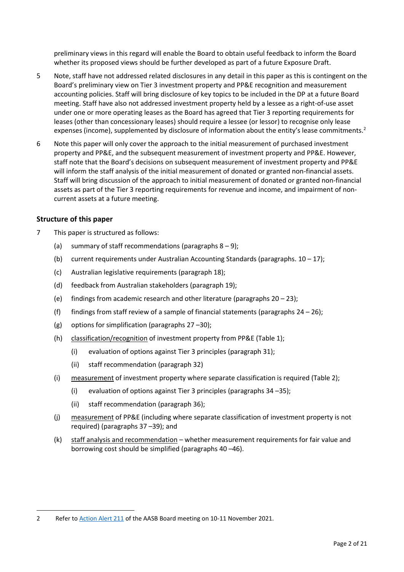preliminary views in this regard will enable the Board to obtain useful feedback to inform the Board whether its proposed views should be further developed as part of a future Exposure Draft.

- 5 Note, staff have not addressed related disclosures in any detail in this paper as this is contingent on the Board's preliminary view on Tier 3 investment property and PP&E recognition and measurement accounting policies. Staff will bring disclosure of key topics to be included in the DP at a future Board meeting. Staff have also not addressed investment property held by a lessee as a right-of-use asset under one or more operating leases as the Board has agreed that Tier 3 reporting requirements for leases (other than concessionary leases) should require a lessee (or lessor) to recognise only lease expenses (income), supplemented by disclosure of information about the entity's lease commitments.<sup>2</sup>
- 6 Note this paper will only cover the approach to the initial measurement of purchased investment property and PP&E, and the subsequent measurement of investment property and PP&E. However, staff note that the Board's decisions on subsequent measurement of investment property and PP&E will inform the staff analysis of the initial measurement of donated or granted non-financial assets. Staff will bring discussion of the approach to initial measurement of donated or granted non-financial assets as part of the Tier 3 reporting requirements for revenue and income, and impairment of noncurrent assets at a future meeting.

### **Structure of this paper**

- 7 This paper is structured as follows:
	- (a) summary of staff recommendations (paragraphs  $8 9$  $8 9$ );
	- (b) current requirements under Australian Accounting Standards (paragraphs.  $10 17$ );
	- (c) Australian legislative requirements (paragraph [18\)](#page-4-0);
	- (d) feedback from Australian stakeholders (paragraph [19\)](#page-4-1);
	- (e) findings from academic research and other literature (paragraphs [20](#page-5-0) [23\)](#page-6-0);
	- (f) findings from staff review of a sample of financial statements (paragraphs  $24 26$ );
	- (g) options for simplification (paragraphs [27](#page-7-2) –[30\)](#page-8-0);
	- (h) classification/recognition of investment property from PP&E [\(Table 1\)](#page-9-0);
		- (i) evaluation of options against Tier 3 principles (paragrap[h 31\)](#page-11-0);
		- (ii) staff recommendation (paragrap[h 32\)](#page-11-1)
	- (i) measurement of investment property where separate classification is required [\(Table 2\)](#page-13-0);
		- (i) evaluation of options against Tier 3 principles (paragraphs [34](#page-16-0) –[35\)](#page-16-1);
		- (ii) staff recommendation (paragraph [36\)](#page-16-2);
	- (j) measurement of PP&E (including where separate classification of investment property is not required) (paragraph[s 37](#page-17-0) –[39\)](#page-18-0); and
	- (k) staff analysis and recommendation whether measurement requirements for fair value and borrowing cost should be simplified (paragraphs [40](#page-18-1) –[46\)](#page-20-0).

<sup>2</sup> Refer to [Action Alert 211](https://aasb.gov.au/media/byim0vv1/211-actionalert.pdf) of the AASB Board meeting on 10-11 November 2021.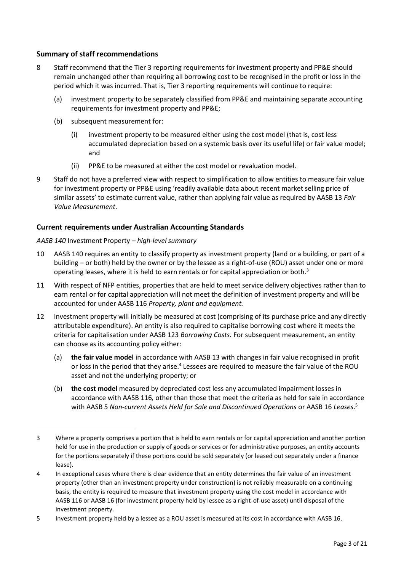## **Summary of staff recommendations**

- <span id="page-2-0"></span>8 Staff recommend that the Tier 3 reporting requirements for investment property and PP&E should remain unchanged other than requiring all borrowing cost to be recognised in the profit or loss in the period which it was incurred. That is, Tier 3 reporting requirements will continue to require:
	- (a) investment property to be separately classified from PP&E and maintaining separate accounting requirements for investment property and PP&E;
	- (b) subsequent measurement for:
		- (i) investment property to be measured either using the cost model (that is, cost less accumulated depreciation based on a systemic basis over its useful life) or fair value model; and
		- (ii) PP&E to be measured at either the cost model or revaluation model.
- <span id="page-2-1"></span>9 Staff do not have a preferred view with respect to simplification to allow entities to measure fair value for investment property or PP&E using 'readily available data about recent market selling price of similar assets' to estimate current value, rather than applying fair value as required by AASB 13 *Fair Value Measurement*.

## **Current requirements under Australian Accounting Standards**

### *AASB 140* Investment Property *– high-level summary*

- <span id="page-2-2"></span>10 AASB 140 requires an entity to classify property as investment property (land or a building, or part of a building – or both) held by the owner or by the lessee as a right-of-use (ROU) asset under one or more operating leases, where it is held to earn rentals or for capital appreciation or both.<sup>3</sup>
- 11 With respect of NFP entities, properties that are held to meet service delivery objectives rather than to earn rental or for capital appreciation will not meet the definition of investment property and will be accounted for under AASB 116 *Property, plant and equipment.*
- 12 Investment property will initially be measured at cost (comprising of its purchase price and any directly attributable expenditure). An entity is also required to capitalise borrowing cost where it meets the criteria for capitalisation under AASB 123 *Borrowing Costs.* For subsequent measurement, an entity can choose as its accounting policy either:
	- (a) **the fair value model** in accordance with AASB 13 with changes in fair value recognised in profit or loss in the period that they arise.<sup>4</sup> Lessees are required to measure the fair value of the ROU asset and not the underlying property; or
	- (b) **the cost model** measured by depreciated cost less any accumulated impairment losses in accordance with AASB 116*,* other than those that meet the criteria as held for sale in accordance with AASB 5 Non-current Assets Held for Sale and Discontinued Operations or AASB 16 Leases.<sup>5</sup>

<sup>3</sup> Where a property comprises a portion that is held to earn rentals or for capital appreciation and another portion held for use in the production or supply of goods or services or for administrative purposes, an entity accounts for the portions separately if these portions could be sold separately (or leased out separately under a finance lease).

<sup>4</sup> In exceptional cases where there is clear evidence that an entity determines the fair value of an investment property (other than an investment property under construction) is not reliably measurable on a continuing basis, the entity is required to measure that investment property using the cost model in accordance with AASB 116 or AASB 16 (for investment property held by lessee as a right-of-use asset) until disposal of the investment property.

<sup>5</sup> Investment property held by a lessee as a ROU asset is measured at its cost in accordance with AASB 16.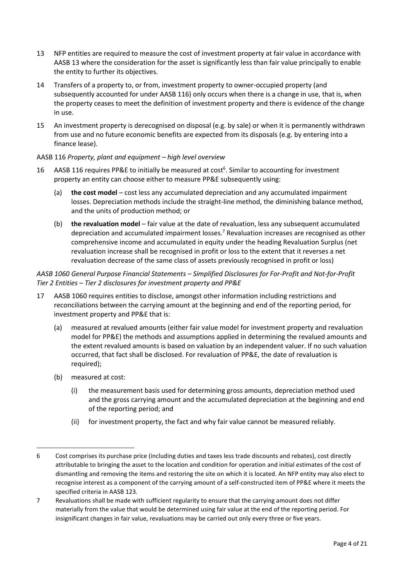- 13 NFP entities are required to measure the cost of investment property at fair value in accordance with AASB 13 where the consideration for the asset is significantly less than fair value principally to enable the entity to further its objectives.
- 14 Transfers of a property to, or from, investment property to owner-occupied property (and subsequently accounted for under AASB 116) only occurs when there is a change in use, that is, when the property ceases to meet the definition of investment property and there is evidence of the change in use.
- 15 An investment property is derecognised on disposal (e.g. by sale) or when it is permanently withdrawn from use and no future economic benefits are expected from its disposals (e.g. by entering into a finance lease).

### AASB 116 *Property, plant and equipment – high level overview*

- 16 AASB 116 requires PP&E to initially be measured at cost<sup>6</sup>. Similar to accounting for investment property an entity can choose either to measure PP&E subsequently using:
	- (a) **the cost model** cost less any accumulated depreciation and any accumulated impairment losses. Depreciation methods include the straight-line method, the diminishing balance method, and the units of production method; or
	- (b) **the revaluation model** fair value at the date of revaluation, less any subsequent accumulated depreciation and accumulated impairment losses.<sup>7</sup> Revaluation increases are recognised as other comprehensive income and accumulated in equity under the heading Revaluation Surplus (net revaluation increase shall be recognised in profit or loss to the extent that it reverses a net revaluation decrease of the same class of assets previously recognised in profit or loss)

## *AASB 1060 General Purpose Financial Statements – Simplified Disclosures for For-Profit and Not-for-Profit Tier 2 Entities – Tier 2 disclosures for investment property and PP&E*

- <span id="page-3-0"></span>17 AASB 1060 requires entities to disclose, amongst other information including restrictions and reconciliations between the carrying amount at the beginning and end of the reporting period, for investment property and PP&E that is:
	- (a) measured at revalued amounts (either fair value model for investment property and revaluation model for PP&E) the methods and assumptions applied in determining the revalued amounts and the extent revalued amounts is based on valuation by an independent valuer. If no such valuation occurred, that fact shall be disclosed. For revaluation of PP&E, the date of revaluation is required);
	- (b) measured at cost:
		- (i) the measurement basis used for determining gross amounts, depreciation method used and the gross carrying amount and the accumulated depreciation at the beginning and end of the reporting period; and
		- (ii) for investment property, the fact and why fair value cannot be measured reliably.

<sup>6</sup> Cost comprises its purchase price (including duties and taxes less trade discounts and rebates), cost directly attributable to bringing the asset to the location and condition for operation and initial estimates of the cost of dismantling and removing the items and restoring the site on which it is located. An NFP entity may also elect to recognise interest as a component of the carrying amount of a self-constructed item of PP&E where it meets the specified criteria in AASB 123*.*

<sup>7</sup> Revaluations shall be made with sufficient regularity to ensure that the carrying amount does not differ materially from the value that would be determined using fair value at the end of the reporting period. For insignificant changes in fair value, revaluations may be carried out only every three or five years.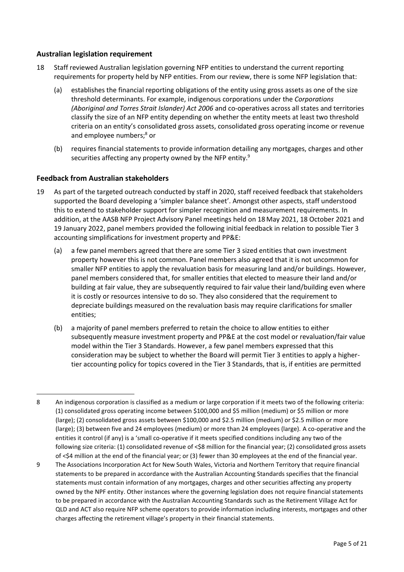### **Australian legislation requirement**

- <span id="page-4-0"></span>18 Staff reviewed Australian legislation governing NFP entities to understand the current reporting requirements for property held by NFP entities. From our review, there is some NFP legislation that:
	- (a) establishes the financial reporting obligations of the entity using gross assets as one of the size threshold determinants. For example, indigenous corporations under the *Corporations (Aboriginal and Torres Strait Islander) Act 2006* and co-operatives across all states and territories classify the size of an NFP entity depending on whether the entity meets at least two threshold criteria on an entity's consolidated gross assets, consolidated gross operating income or revenue and employee numbers; <sup>8</sup> or
	- (b) requires financial statements to provide information detailing any mortgages, charges and other securities affecting any property owned by the NFP entity.<sup>9</sup>

### **Feedback from Australian stakeholders**

- <span id="page-4-1"></span>19 As part of the targeted outreach conducted by staff in 2020, staff received feedback that stakeholders supported the Board developing a 'simpler balance sheet'. Amongst other aspects, staff understood this to extend to stakeholder support for simpler recognition and measurement requirements. In addition, at the AASB NFP Project Advisory Panel meetings held on 18May 2021, 18 October 2021 and 19 January 2022, panel members provided the following initial feedback in relation to possible Tier 3 accounting simplifications for investment property and PP&E:
	- (a) a few panel members agreed that there are some Tier 3 sized entities that own investment property however this is not common. Panel members also agreed that it is not uncommon for smaller NFP entities to apply the revaluation basis for measuring land and/or buildings. However, panel members considered that, for smaller entities that elected to measure their land and/or building at fair value, they are subsequently required to fair value their land/building even where it is costly or resources intensive to do so. They also considered that the requirement to depreciate buildings measured on the revaluation basis may require clarifications for smaller entities;
	- (b) a majority of panel members preferred to retain the choice to allow entities to either subsequently measure investment property and PP&E at the cost model or revaluation/fair value model within the Tier 3 Standards. However, a few panel members expressed that this consideration may be subject to whether the Board will permit Tier 3 entities to apply a highertier accounting policy for topics covered in the Tier 3 Standards, that is, if entities are permitted

<sup>8</sup> An indigenous corporation is classified as a medium or large corporation if it meets two of the following criteria: (1) consolidated gross operating income between \$100,000 and \$5 million (medium) or \$5 million or more (large); (2) consolidated gross assets between \$100,000 and \$2.5 million (medium) or \$2.5 million or more (large); (3) between five and 24 employees (medium) or more than 24 employees (large). A co-operative and the entities it control (if any) is a 'small co-operative if it meets specified conditions including any two of the following size criteria: (1) consolidated revenue of <\$8 million for the financial year; (2) consolidated gross assets of <\$4 million at the end of the financial year; or (3) fewer than 30 employees at the end of the financial year.

<sup>9</sup> The Associations Incorporation Act for New South Wales, Victoria and Northern Territory that require financial statements to be prepared in accordance with the Australian Accounting Standards specifies that the financial statements must contain information of any mortgages, charges and other securities affecting any property owned by the NPF entity. Other instances where the governing legislation does not require financial statements to be prepared in accordance with the Australian Accounting Standards such as the Retirement Village Act for QLD and ACT also require NFP scheme operators to provide information including interests, mortgages and other charges affecting the retirement village's property in their financial statements.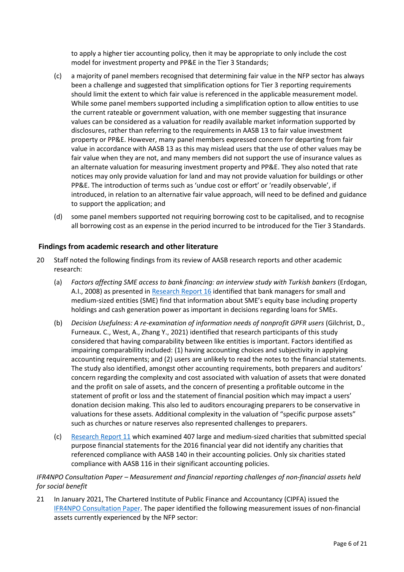to apply a higher tier accounting policy, then it may be appropriate to only include the cost model for investment property and PP&E in the Tier 3 Standards;

- (c) a majority of panel members recognised that determining fair value in the NFP sector has always been a challenge and suggested that simplification options for Tier 3 reporting requirements should limit the extent to which fair value is referenced in the applicable measurement model. While some panel members supported including a simplification option to allow entities to use the current rateable or government valuation, with one member suggesting that insurance values can be considered as a valuation for readily available market information supported by disclosures, rather than referring to the requirements in AASB 13 to fair value investment property or PP&E. However, many panel members expressed concern for departing from fair value in accordance with AASB 13 as this may mislead users that the use of other values may be fair value when they are not, and many members did not support the use of insurance values as an alternate valuation for measuring investment property and PP&E. They also noted that rate notices may only provide valuation for land and may not provide valuation for buildings or other PP&E. The introduction of terms such as 'undue cost or effort' or 'readily observable', if introduced, in relation to an alternative fair value approach, will need to be defined and guidance to support the application; and
- (d) some panel members supported not requiring borrowing cost to be capitalised, and to recognise all borrowing cost as an expense in the period incurred to be introduced for the Tier 3 Standards.

## **Findings from academic research and other literature**

- <span id="page-5-0"></span>20 Staff noted the following findings from its review of AASB research reports and other academic research:
	- (a) *Factors affecting SME access to bank financing: an interview study with Turkish bankers* (Erdogan, A.I., 2008) as presented in [Research Report](https://aasb.gov.au/admin/file/content102/c3/RR16_FinancialReportingByNonCorporateSmallEntities_04-21.pdf) 16 identified that bank managers for small and medium-sized entities (SME) find that information about SME's equity base including property holdings and cash generation power as important in decisions regarding loans for SMEs.
	- (b) *Decision Usefulness: A re-examination of information needs of nonprofit GPFR users* (Gilchrist, D., Furneaux. C., West, A., Zhang Y., 2021) identified that research participants of this study considered that having comparability between like entities is important. Factors identified as impairing comparability included: (1) having accounting choices and subjectivity in applying accounting requirements; and (2) users are unlikely to read the notes to the financial statements. The study also identified, amongst other accounting requirements, both preparers and auditors' concern regarding the complexity and cost associated with valuation of assets that were donated and the profit on sale of assets, and the concern of presenting a profitable outcome in the statement of profit or loss and the statement of financial position which may impact a users' donation decision making. This also led to auditors encouraging preparers to be conservative in valuations for these assets. Additional complexity in the valuation of "specific purpose assets" such as churches or nature reserves also represented challenges to preparers.
	- (c) [Research Report 11](https://aasb.gov.au/admin/file/content102/c3/AASB_RR11_ACNCreport.pdf) which examined 407 large and medium-sized charities that submitted special purpose financial statements for the 2016 financial year did not identify any charities that referenced compliance with AASB 140 in their accounting policies. Only six charities stated compliance with AASB 116 in their significant accounting policies.

## <span id="page-5-2"></span><span id="page-5-1"></span>*IFR4NPO Consultation Paper – Measurement and financial reporting challenges of non-financial assets held for social benefit*

21 In January 2021, The Chartered Institute of Public Finance and Accountancy (CIPFA) issued the [IFR4NPO Consultation Paper.](https://www.ifr4npo.org/access-consultation-paper/) The paper identified the following measurement issues of non-financial assets currently experienced by the NFP sector: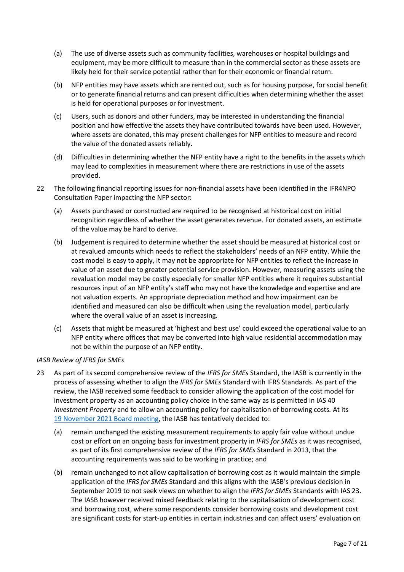- (a) The use of diverse assets such as community facilities, warehouses or hospital buildings and equipment, may be more difficult to measure than in the commercial sector as these assets are likely held for their service potential rather than for their economic or financial return.
- (b) NFP entities may have assets which are rented out, such as for housing purpose, for social benefit or to generate financial returns and can present difficulties when determining whether the asset is held for operational purposes or for investment.
- (c) Users, such as donors and other funders, may be interested in understanding the financial position and how effective the assets they have contributed towards have been used. However, where assets are donated, this may present challenges for NFP entities to measure and record the value of the donated assets reliably.
- (d) Difficulties in determining whether the NFP entity have a right to the benefits in the assets which may lead to complexities in measurement where there are restrictions in use of the assets provided.
- 22 The following financial reporting issues for non-financial assets have been identified in the IFR4NPO Consultation Paper impacting the NFP sector:
	- (a) Assets purchased or constructed are required to be recognised at historical cost on initial recognition regardless of whether the asset generates revenue. For donated assets, an estimate of the value may be hard to derive.
	- (b) Judgement is required to determine whether the asset should be measured at historical cost or at revalued amounts which needs to reflect the stakeholders' needs of an NFP entity. While the cost model is easy to apply, it may not be appropriate for NFP entities to reflect the increase in value of an asset due to greater potential service provision. However, measuring assets using the revaluation model may be costly especially for smaller NFP entities where it requires substantial resources input of an NFP entity's staff who may not have the knowledge and expertise and are not valuation experts. An appropriate depreciation method and how impairment can be identified and measured can also be difficult when using the revaluation model, particularly where the overall value of an asset is increasing.
	- (c) Assets that might be measured at 'highest and best use' could exceed the operational value to an NFP entity where offices that may be converted into high value residential accommodation may not be within the purpose of an NFP entity.

#### *IASB Review of IFRS for SMEs*

- <span id="page-6-0"></span>23 As part of its second comprehensive review of the *IFRS for SMEs* Standard, the IASB is currently in the process of assessing whether to align the *IFRS for SMEs* Standard with IFRS Standards. As part of the review, the IASB received some feedback to consider allowing the application of the cost model for investment property as an accounting policy choice in the same way as is permitted in IAS 40 *Investment Property* and to allow an accounting policy for capitalisation of borrowing costs*.* At its 19 [November 2021 Board meeting,](https://www.ifrs.org/content/dam/ifrs/meetings/2021/november/iasb/ap30e-sme-other-topics-with-no-amendments-recommended.pdf) the IASB has tentatively decided to:
	- (a) remain unchanged the existing measurement requirements to apply fair value without undue cost or effort on an ongoing basis for investment property in *IFRS for SMEs* as it was recognised, as part of its first comprehensive review of the *IFRS for SMEs* Standard in 2013, that the accounting requirements was said to be working in practice; and
	- (b) remain unchanged to not allow capitalisation of borrowing cost as it would maintain the simple application of the *IFRS for SMEs* Standard and this aligns with the IASB's previous decision in September 2019 to not seek views on whether to align the *IFRS for SMEs* Standards with IAS 23. The IASB however received mixed feedback relating to the capitalisation of development cost and borrowing cost, where some respondents consider borrowing costs and development cost are significant costs for start-up entities in certain industries and can affect users' evaluation on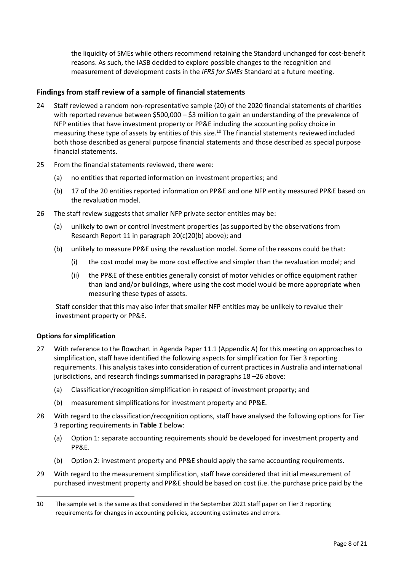the liquidity of SMEs while others recommend retaining the Standard unchanged for cost-benefit reasons. As such, the IASB decided to explore possible changes to the recognition and measurement of development costs in the *IFRS for SMEs* Standard at a future meeting.

## **Findings from staff review of a sample of financial statements**

- <span id="page-7-0"></span>24 Staff reviewed a random non-representative sample (20) of the 2020 financial statements of charities with reported revenue between \$500,000 - \$3 million to gain an understanding of the prevalence of NFP entities that have investment property or PP&E including the accounting policy choice in measuring these type of assets by entities of this size.<sup>10</sup> The financial statements reviewed included both those described as general purpose financial statements and those described as special purpose financial statements.
- 25 From the financial statements reviewed, there were:
	- (a) no entities that reported information on investment properties; and
	- (b) 17 of the 20 entities reported information on PP&E and one NFP entity measured PP&E based on the revaluation model.
- <span id="page-7-1"></span>26 The staff review suggests that smaller NFP private sector entities may be:
	- (a) unlikely to own or control investment properties (as supported by the observations from Research Report 11 in paragraph [20\(c\)](#page-5-1)[20\(b\)](#page-5-2) above); and
	- (b) unlikely to measure PP&E using the revaluation model. Some of the reasons could be that:
		- (i) the cost model may be more cost effective and simpler than the revaluation model; and
		- (ii) the PP&E of these entities generally consist of motor vehicles or office equipment rather than land and/or buildings, where using the cost model would be more appropriate when measuring these types of assets.

Staff consider that this may also infer that smaller NFP entities may be unlikely to revalue their investment property or PP&E.

## **Options for simplification**

- <span id="page-7-2"></span>27 With reference to the flowchart in Agenda Paper 11.1 (Appendix A) for this meeting on approaches to simplification, staff have identified the following aspects for simplification for Tier 3 reporting requirements. This analysis takes into consideration of current practices in Australia and international jurisdictions, and research findings summarised in paragraphs [18](#page-4-0) –[26](#page-7-1) above:
	- (a) Classification/recognition simplification in respect of investment property; and
	- (b) measurement simplifications for investment property and PP&E.
- <span id="page-7-3"></span>28 With regard to the classification/recognition options, staff have analysed the following options for Tier 3 reporting requirements in **[Table](#page-9-0)** *1* below:
	- (a) Option 1: separate accounting requirements should be developed for investment property and PP&E.
	- (b) Option 2: investment property and PP&E should apply the same accounting requirements.
- <span id="page-7-4"></span>29 With regard to the measurement simplification, staff have considered that initial measurement of purchased investment property and PP&E should be based on cost (i.e. the purchase price paid by the

<sup>10</sup> The sample set is the same as that considered in the September 2021 staff paper on Tier 3 reporting requirements for changes in accounting policies, accounting estimates and errors.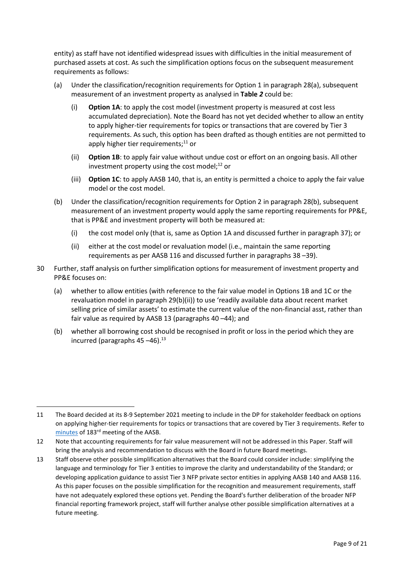entity) as staff have not identified widespread issues with difficulties in the initial measurement of purchased assets at cost. As such the simplification options focus on the subsequent measurement requirements as follows:

- (a) Under the classification/recognition requirements for Option 1 in paragraph [28\(a\),](#page-7-3) subsequent measurement of an investment property as analysed in **[Table](#page-13-0)** *2* could be:
	- (i) **Option 1A**: to apply the cost model (investment property is measured at cost less accumulated depreciation). Note the Board has not yet decided whether to allow an entity to apply higher-tier requirements for topics or transactions that are covered by Tier 3 requirements. As such, this option has been drafted as though entities are not permitted to apply higher tier requirements; <sup>11</sup> or
	- (ii) **Option 1B**: to apply fair value without undue cost or effort on an ongoing basis. All other investment property using the cost model; $^{12}$  or
	- (iii) **Option 1C**: to apply AASB 140, that is, an entity is permitted a choice to apply the fair value model or the cost model.
- (b) Under the classification/recognition requirements for Option 2 in paragraph [28\(b\),](#page-7-4) subsequent measurement of an investment property would apply the same reporting requirements for PP&E, that is PP&E and investment property will both be measured at:
	- (i) the cost model only (that is, same as Option 1A and discussed further in paragraph [37\)](#page-17-0); or
	- (ii) either at the cost model or revaluation model (i.e., maintain the same reporting requirements as per AASB 116 and discussed further in paragraph[s 38](#page-17-1) –[39\)](#page-18-0).
- <span id="page-8-1"></span><span id="page-8-0"></span>30 Further, staff analysis on further simplification options for measurement of investment property and PP&E focuses on:
	- (a) whether to allow entities (with reference to the fair value model in Options 1B and 1C or the revaluation model in paragraph [29\(b\)\(ii\)\)](#page-8-1) to use 'readily available data about recent market selling price of similar assets' to estimate the current value of the non-financial asst, rather than fair value as required by AASB 13 (paragraphs [40](#page-18-1) –[44\)](#page-19-0); and
	- (b) whether all borrowing cost should be recognised in profit or loss in the period which they are incurred (paragraphs [45](#page-20-1) –[46\)](#page-20-0). 13

<sup>11</sup> The Board decided at its 8-9 September 2021 meeting to include in the DP for stakeholder feedback on options on applying higher-tier requirements for topics or transactions that are covered by Tier 3 requirements. Refer to [minutes](https://aasb.gov.au/media/5l2ptuyt/approvedaasbminutesm183sept21.pdf) of 183<sup>rd</sup> meeting of the AASB.

<sup>12</sup> Note that accounting requirements for fair value measurement will not be addressed in this Paper. Staff will bring the analysis and recommendation to discuss with the Board in future Board meetings.

<sup>13</sup> Staff observe other possible simplification alternatives that the Board could consider include: simplifying the language and terminology for Tier 3 entities to improve the clarity and understandability of the Standard; or developing application guidance to assist Tier 3 NFP private sector entities in applying AASB 140 and AASB 116. As this paper focuses on the possible simplification for the recognition and measurement requirements, staff have not adequately explored these options yet. Pending the Board's further deliberation of the broader NFP financial reporting framework project, staff will further analyse other possible simplification alternatives at a future meeting.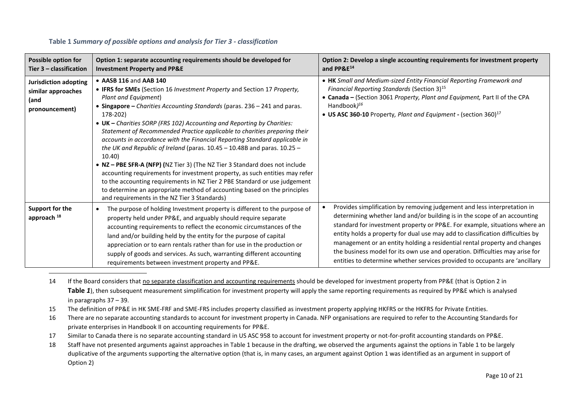| <b>Possible option for</b><br>Tier $3$ – classification               | Option 1: separate accounting requirements should be developed for<br><b>Investment Property and PP&amp;E</b>                                                                                                                                                                                                                                                                                                                                                                                                                                                                                                                                                                                                                                                                                                                                                                                                            | Option 2: Develop a single accounting requirements for investment property<br>and PP&E <sup>14</sup>                                                                                                                                                                                                                                                                                                                                                                                                                                                                           |
|-----------------------------------------------------------------------|--------------------------------------------------------------------------------------------------------------------------------------------------------------------------------------------------------------------------------------------------------------------------------------------------------------------------------------------------------------------------------------------------------------------------------------------------------------------------------------------------------------------------------------------------------------------------------------------------------------------------------------------------------------------------------------------------------------------------------------------------------------------------------------------------------------------------------------------------------------------------------------------------------------------------|--------------------------------------------------------------------------------------------------------------------------------------------------------------------------------------------------------------------------------------------------------------------------------------------------------------------------------------------------------------------------------------------------------------------------------------------------------------------------------------------------------------------------------------------------------------------------------|
| Jurisdiction adopting<br>similar approaches<br>(and<br>pronouncement) | • AASB 116 and AAB 140<br>• IFRS for SMEs (Section 16 Investment Property and Section 17 Property,<br>Plant and Equipment)<br>• Singapore - Charities Accounting Standards (paras. 236 - 241 and paras.<br>178-202)<br>• UK - Charities SORP (FRS 102) Accounting and Reporting by Charities:<br>Statement of Recommended Practice applicable to charities preparing their<br>accounts in accordance with the Financial Reporting Standard applicable in<br>the UK and Republic of Ireland (paras. $10.45 - 10.48B$ and paras. $10.25 -$<br>10.40<br>• NZ - PBE SFR-A (NFP) (NZ Tier 3) (The NZ Tier 3 Standard does not include<br>accounting requirements for investment property, as such entities may refer<br>to the accounting requirements in NZ Tier 2 PBE Standard or use judgement<br>to determine an appropriate method of accounting based on the principles<br>and requirements in the NZ Tier 3 Standards) | • HK Small and Medium-sized Entity Financial Reporting Framework and<br>Financial Reporting Standards (Section 3) <sup>15</sup><br>• Canada - (Section 3061 Property, Plant and Equipment, Part II of the CPA<br>Handbook $1^{16}$<br>• US ASC 360-10 Property, Plant and Equipment - (section 360) <sup>17</sup>                                                                                                                                                                                                                                                              |
| Support for the<br>approach <sup>18</sup>                             | The purpose of holding Investment property is different to the purpose of<br>$\bullet$<br>property held under PP&E, and arguably should require separate<br>accounting requirements to reflect the economic circumstances of the<br>land and/or building held by the entity for the purpose of capital<br>appreciation or to earn rentals rather than for use in the production or<br>supply of goods and services. As such, warranting different accounting<br>requirements between investment property and PP&E.                                                                                                                                                                                                                                                                                                                                                                                                       | Provides simplification by removing judgement and less interpretation in<br>$\bullet$<br>determining whether land and/or building is in the scope of an accounting<br>standard for investment property or PP&E. For example, situations where an<br>entity holds a property for dual use may add to classification difficulties by<br>management or an entity holding a residential rental property and changes<br>the business model for its own use and operation. Difficulties may arise for<br>entities to determine whether services provided to occupants are 'ancillary |

#### <span id="page-9-1"></span>**Table 1** *Summary of possible options and analysis for Tier 3 - classification*

<span id="page-9-0"></span>14 If the Board considers that no separate classification and accounting requirements should be developed for investment property from PP&E (that is Option 2 in **[Table](#page-9-1)** *1*), then subsequent measurement simplification for investment property will apply the same reporting requirements as required by PP&E which is analysed in paragraph[s 37](#page-17-2) – [39.](#page-18-2)

- 15 The definition of PP&E in HK SME-FRF and SME-FRS includes property classified as investment property applying HKFRS or the HKFRS for Private Entities.
- 16 There are no separate accounting standards to account for investment property in Canada. NFP organisations are required to refer to the Accounting Standards for private enterprises in Handbook II on accounting requirements for PP&E.
- 17 Similar to Canada there is no separate accounting standard in US ASC 958 to account for investment property or not-for-profit accounting standards on PP&E.

18 Staff have not presented arguments against approaches in Table 1 because in the drafting, we observed the arguments against the options in Table 1 to be largely duplicative of the arguments supporting the alternative option (that is, in many cases, an argument against Option 1 was identified as an argument in support of Option 2)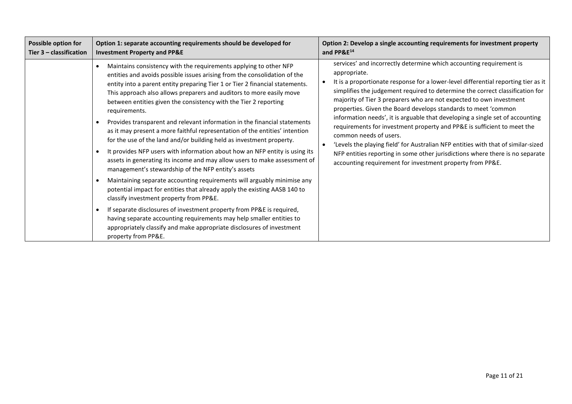| <b>Possible option for</b> | Option 1: separate accounting requirements should be developed for                                                                                                                                                                                                                                                                                                                                                                                                                                                                                                                                                                                                                                                                                                                                                                                                                                                                                                                                                                                                                                                                                                                                                                                                                                                                                         | Option 2: Develop a single accounting requirements for investment property                                                                                                                                                                                                                                                                                                                                                                                                                                                                                                                                                                                                                                                                                                                                                                |
|----------------------------|------------------------------------------------------------------------------------------------------------------------------------------------------------------------------------------------------------------------------------------------------------------------------------------------------------------------------------------------------------------------------------------------------------------------------------------------------------------------------------------------------------------------------------------------------------------------------------------------------------------------------------------------------------------------------------------------------------------------------------------------------------------------------------------------------------------------------------------------------------------------------------------------------------------------------------------------------------------------------------------------------------------------------------------------------------------------------------------------------------------------------------------------------------------------------------------------------------------------------------------------------------------------------------------------------------------------------------------------------------|-------------------------------------------------------------------------------------------------------------------------------------------------------------------------------------------------------------------------------------------------------------------------------------------------------------------------------------------------------------------------------------------------------------------------------------------------------------------------------------------------------------------------------------------------------------------------------------------------------------------------------------------------------------------------------------------------------------------------------------------------------------------------------------------------------------------------------------------|
| Tier 3 - classification    | <b>Investment Property and PP&amp;E</b>                                                                                                                                                                                                                                                                                                                                                                                                                                                                                                                                                                                                                                                                                                                                                                                                                                                                                                                                                                                                                                                                                                                                                                                                                                                                                                                    | and PP&E <sup>14</sup>                                                                                                                                                                                                                                                                                                                                                                                                                                                                                                                                                                                                                                                                                                                                                                                                                    |
|                            | Maintains consistency with the requirements applying to other NFP<br>$\bullet$<br>entities and avoids possible issues arising from the consolidation of the<br>entity into a parent entity preparing Tier 1 or Tier 2 financial statements.<br>This approach also allows preparers and auditors to more easily move<br>between entities given the consistency with the Tier 2 reporting<br>requirements.<br>Provides transparent and relevant information in the financial statements<br>$\bullet$<br>as it may present a more faithful representation of the entities' intention<br>for the use of the land and/or building held as investment property.<br>It provides NFP users with information about how an NFP entity is using its<br>assets in generating its income and may allow users to make assessment of<br>management's stewardship of the NFP entity's assets<br>Maintaining separate accounting requirements will arguably minimise any<br>$\bullet$<br>potential impact for entities that already apply the existing AASB 140 to<br>classify investment property from PP&E.<br>If separate disclosures of investment property from PP&E is required,<br>$\bullet$<br>having separate accounting requirements may help smaller entities to<br>appropriately classify and make appropriate disclosures of investment<br>property from PP&E. | services' and incorrectly determine which accounting requirement is<br>appropriate.<br>It is a proportionate response for a lower-level differential reporting tier as it<br>$\bullet$<br>simplifies the judgement required to determine the correct classification for<br>majority of Tier 3 preparers who are not expected to own investment<br>properties. Given the Board develops standards to meet 'common<br>information needs', it is arguable that developing a single set of accounting<br>requirements for investment property and PP&E is sufficient to meet the<br>common needs of users.<br>'Levels the playing field' for Australian NFP entities with that of similar-sized<br>NFP entities reporting in some other jurisdictions where there is no separate<br>accounting requirement for investment property from PP&E. |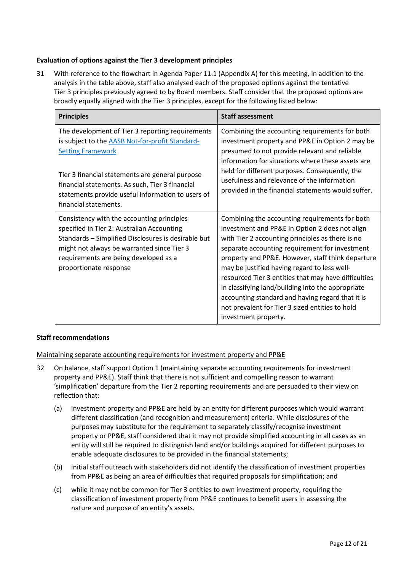### **Evaluation of options against the Tier 3 development principles**

<span id="page-11-0"></span>31 With reference to the flowchart in Agenda Paper 11.1 (Appendix A) for this meeting, in addition to the analysis in the table above, staff also analysed each of the proposed options against the tentative Tier 3 principles previously agreed to by Board members. Staff consider that the proposed options are broadly equally aligned with the Tier 3 principles, except for the following listed below:

| <b>Principles</b>                                                                                                                                                                                                                                                                                                          | <b>Staff assessment</b>                                                                                                                                                                                                                                                                                                                                                                                                                                                                                                                                 |
|----------------------------------------------------------------------------------------------------------------------------------------------------------------------------------------------------------------------------------------------------------------------------------------------------------------------------|---------------------------------------------------------------------------------------------------------------------------------------------------------------------------------------------------------------------------------------------------------------------------------------------------------------------------------------------------------------------------------------------------------------------------------------------------------------------------------------------------------------------------------------------------------|
| The development of Tier 3 reporting requirements<br>is subject to the <b>AASB Not-for-profit Standard-</b><br><b>Setting Framework</b><br>Tier 3 financial statements are general purpose<br>financial statements. As such, Tier 3 financial<br>statements provide useful information to users of<br>financial statements. | Combining the accounting requirements for both<br>investment property and PP&E in Option 2 may be<br>presumed to not provide relevant and reliable<br>information for situations where these assets are<br>held for different purposes. Consequently, the<br>usefulness and relevance of the information<br>provided in the financial statements would suffer.                                                                                                                                                                                          |
| Consistency with the accounting principles<br>specified in Tier 2: Australian Accounting<br>Standards - Simplified Disclosures is desirable but<br>might not always be warranted since Tier 3<br>requirements are being developed as a<br>proportionate response                                                           | Combining the accounting requirements for both<br>investment and PP&E in Option 2 does not align<br>with Tier 2 accounting principles as there is no<br>separate accounting requirement for investment<br>property and PP&E. However, staff think departure<br>may be justified having regard to less well-<br>resourced Tier 3 entities that may have difficulties<br>in classifying land/building into the appropriate<br>accounting standard and having regard that it is<br>not prevalent for Tier 3 sized entities to hold<br>investment property. |

#### **Staff recommendations**

Maintaining separate accounting requirements for investment property and PP&E

- <span id="page-11-1"></span>32 On balance, staff support Option 1 (maintaining separate accounting requirements for investment property and PP&E). Staff think that there is not sufficient and compelling reason to warrant 'simplification' departure from the Tier 2 reporting requirements and are persuaded to their view on reflection that:
	- (a) investment property and PP&E are held by an entity for different purposes which would warrant different classification (and recognition and measurement) criteria. While disclosures of the purposes may substitute for the requirement to separately classify/recognise investment property or PP&E, staff considered that it may not provide simplified accounting in all cases as an entity will still be required to distinguish land and/or buildings acquired for different purposes to enable adequate disclosures to be provided in the financial statements;
	- (b) initial staff outreach with stakeholders did not identify the classification of investment properties from PP&E as being an area of difficulties that required proposals for simplification; and
	- (c) while it may not be common for Tier 3 entities to own investment property, requiring the classification of investment property from PP&E continues to benefit users in assessing the nature and purpose of an entity's assets.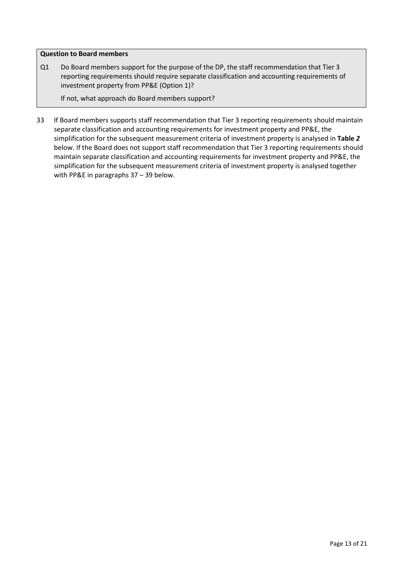#### **Question to Board members**

Q1 Do Board members support for the purpose of the DP, the staff recommendation that Tier 3 reporting requirements should require separate classification and accounting requirements of investment property from PP&E (Option 1)?

If not, what approach do Board members support?

33 If Board members supports staff recommendation that Tier 3 reporting requirements should maintain separate classification and accounting requirements for investment property and PP&E, the simplification for the subsequent measurement criteria of investment property is analysed in **[Table](#page-13-0)** *2* below. If the Board does not support staff recommendation that Tier 3 reporting requirements should maintain separate classification and accounting requirements for investment property and PP&E, the simplification for the subsequent measurement criteria of investment property is analysed together with PP&E in paragraphs [37](#page-17-0) – [39](#page-18-0) below.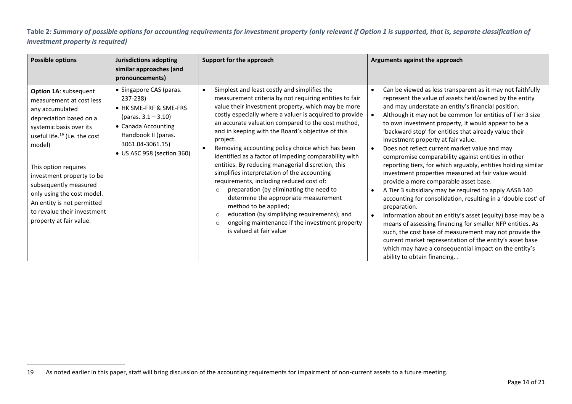**Table 2***: Summary of possible options for accounting requirements for investment property (only relevant if Option 1 is supported, that is, separate classification of investment property is required)*

<span id="page-13-0"></span>

| <b>Possible options</b>                                                                                                                                                                                                                                                                                                                                                               | <b>Jurisdictions adopting</b><br>similar approaches (and<br>pronouncements)                                                                                                             | Support for the approach                                                                                                                                                                                                                                                                                                                                                                                                                                                                                                                                                                                                                                                                                                                                                                                                                                                                            | Arguments against the approach                                                                                                                                                                                                                                                                                                                                                                                                                                                                                                                                                                                                                                                                                                                                                                                                                                                                                                                                                                                                                                                                                                                             |
|---------------------------------------------------------------------------------------------------------------------------------------------------------------------------------------------------------------------------------------------------------------------------------------------------------------------------------------------------------------------------------------|-----------------------------------------------------------------------------------------------------------------------------------------------------------------------------------------|-----------------------------------------------------------------------------------------------------------------------------------------------------------------------------------------------------------------------------------------------------------------------------------------------------------------------------------------------------------------------------------------------------------------------------------------------------------------------------------------------------------------------------------------------------------------------------------------------------------------------------------------------------------------------------------------------------------------------------------------------------------------------------------------------------------------------------------------------------------------------------------------------------|------------------------------------------------------------------------------------------------------------------------------------------------------------------------------------------------------------------------------------------------------------------------------------------------------------------------------------------------------------------------------------------------------------------------------------------------------------------------------------------------------------------------------------------------------------------------------------------------------------------------------------------------------------------------------------------------------------------------------------------------------------------------------------------------------------------------------------------------------------------------------------------------------------------------------------------------------------------------------------------------------------------------------------------------------------------------------------------------------------------------------------------------------------|
| Option 1A: subsequent<br>measurement at cost less<br>any accumulated<br>depreciation based on a<br>systemic basis over its<br>useful life. <sup>19</sup> (i.e. the cost<br>model)<br>This option requires<br>investment property to be<br>subsequently measured<br>only using the cost model.<br>An entity is not permitted<br>to revalue their investment<br>property at fair value. | • Singapore CAS (paras.<br>237-238)<br>• HK SME-FRF & SME-FRS<br>(paras. $3.1 - 3.10$ )<br>• Canada Accounting<br>Handbook II (paras.<br>3061.04-3061.15)<br>• US ASC 958 (section 360) | Simplest and least costly and simplifies the<br>$\bullet$<br>measurement criteria by not requiring entities to fair<br>value their investment property, which may be more<br>costly especially where a valuer is acquired to provide<br>an accurate valuation compared to the cost method,<br>and in keeping with the Board's objective of this<br>project.<br>Removing accounting policy choice which has been<br>identified as a factor of impeding comparability with<br>entities. By reducing managerial discretion, this<br>simplifies interpretation of the accounting<br>requirements, including reduced cost of:<br>preparation (by eliminating the need to<br>$\circ$<br>determine the appropriate measurement<br>method to be applied;<br>education (by simplifying requirements); and<br>$\circ$<br>ongoing maintenance if the investment property<br>$\circ$<br>is valued at fair value | Can be viewed as less transparent as it may not faithfully<br>represent the value of assets held/owned by the entity<br>and may understate an entity's financial position.<br>Although it may not be common for entities of Tier 3 size<br>to own investment property, it would appear to be a<br>'backward step' for entities that already value their<br>investment property at fair value.<br>Does not reflect current market value and may<br>compromise comparability against entities in other<br>reporting tiers, for which arguably, entities holding similar<br>investment properties measured at fair value would<br>provide a more comparable asset base.<br>A Tier 3 subsidiary may be required to apply AASB 140<br>accounting for consolidation, resulting in a 'double cost' of<br>preparation.<br>Information about an entity's asset (equity) base may be a<br>means of assessing financing for smaller NFP entities. As<br>such, the cost base of measurement may not provide the<br>current market representation of the entity's asset base<br>which may have a consequential impact on the entity's<br>ability to obtain financing. . |

<sup>19</sup> As noted earlier in this paper, staff will bring discussion of the accounting requirements for impairment of non-current assets to a future meeting.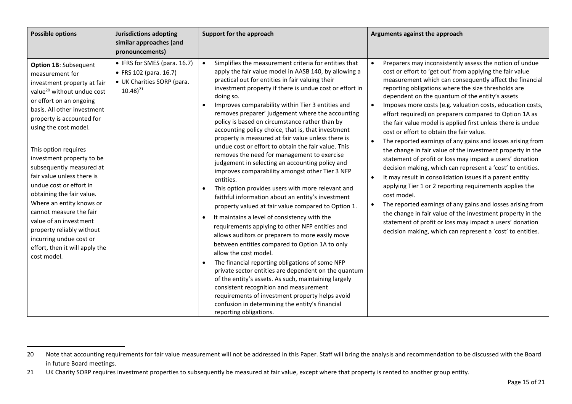| <b>Possible options</b>                                                                                                                                                                                                                                                                                                                                                                                                                                                                                                                                                                            | <b>Jurisdictions adopting</b><br>similar approaches (and<br>pronouncements)                            | Support for the approach                                                                                                                                                                                                                                                                                                                                                                                                                                                                                                                                                                                                                                                                                                                                                                                                                                                                                                                                                                                                                                                                                                                                                                                                                                                                                                                                                                                                                                                                                                          | Arguments against the approach                                                                                                                                                                                                                                                                                                                                                                                                                                                                                                                                                                                                                                                                                                                                                                                                                                                                                                                                                                                                                                                                                                                                                             |
|----------------------------------------------------------------------------------------------------------------------------------------------------------------------------------------------------------------------------------------------------------------------------------------------------------------------------------------------------------------------------------------------------------------------------------------------------------------------------------------------------------------------------------------------------------------------------------------------------|--------------------------------------------------------------------------------------------------------|-----------------------------------------------------------------------------------------------------------------------------------------------------------------------------------------------------------------------------------------------------------------------------------------------------------------------------------------------------------------------------------------------------------------------------------------------------------------------------------------------------------------------------------------------------------------------------------------------------------------------------------------------------------------------------------------------------------------------------------------------------------------------------------------------------------------------------------------------------------------------------------------------------------------------------------------------------------------------------------------------------------------------------------------------------------------------------------------------------------------------------------------------------------------------------------------------------------------------------------------------------------------------------------------------------------------------------------------------------------------------------------------------------------------------------------------------------------------------------------------------------------------------------------|--------------------------------------------------------------------------------------------------------------------------------------------------------------------------------------------------------------------------------------------------------------------------------------------------------------------------------------------------------------------------------------------------------------------------------------------------------------------------------------------------------------------------------------------------------------------------------------------------------------------------------------------------------------------------------------------------------------------------------------------------------------------------------------------------------------------------------------------------------------------------------------------------------------------------------------------------------------------------------------------------------------------------------------------------------------------------------------------------------------------------------------------------------------------------------------------|
| Option 1B: Subsequent<br>measurement for<br>investment property at fair<br>value <sup>20</sup> without undue cost<br>or effort on an ongoing<br>basis. All other investment<br>property is accounted for<br>using the cost model.<br>This option requires<br>investment property to be<br>subsequently measured at<br>fair value unless there is<br>undue cost or effort in<br>obtaining the fair value.<br>Where an entity knows or<br>cannot measure the fair<br>value of an investment<br>property reliably without<br>incurring undue cost or<br>effort, then it will apply the<br>cost model. | • IFRS for SMES (para. 16.7)<br>• FRS 102 (para. 16.7)<br>• UK Charities SORP (para.<br>$(10.48)^{21}$ | Simplifies the measurement criteria for entities that<br>$\bullet$<br>apply the fair value model in AASB 140, by allowing a<br>practical out for entities in fair valuing their<br>investment property if there is undue cost or effort in<br>doing so.<br>Improves comparability within Tier 3 entities and<br>removes preparer' judgement where the accounting<br>policy is based on circumstance rather than by<br>accounting policy choice, that is, that investment<br>property is measured at fair value unless there is<br>undue cost or effort to obtain the fair value. This<br>removes the need for management to exercise<br>judgement in selecting an accounting policy and<br>improves comparability amongst other Tier 3 NFP<br>entities.<br>This option provides users with more relevant and<br>$\bullet$<br>faithful information about an entity's investment<br>property valued at fair value compared to Option 1.<br>It maintains a level of consistency with the<br>$\bullet$<br>requirements applying to other NFP entities and<br>allows auditors or preparers to more easily move<br>between entities compared to Option 1A to only<br>allow the cost model.<br>The financial reporting obligations of some NFP<br>private sector entities are dependent on the quantum<br>of the entity's assets. As such, maintaining largely<br>consistent recognition and measurement<br>requirements of investment property helps avoid<br>confusion in determining the entity's financial<br>reporting obligations. | Preparers may inconsistently assess the notion of undue<br>cost or effort to 'get out' from applying the fair value<br>measurement which can consequently affect the financial<br>reporting obligations where the size thresholds are<br>dependent on the quantum of the entity's assets<br>Imposes more costs (e.g. valuation costs, education costs,<br>effort required) on preparers compared to Option 1A as<br>the fair value model is applied first unless there is undue<br>cost or effort to obtain the fair value.<br>The reported earnings of any gains and losses arising from<br>$\bullet$<br>the change in fair value of the investment property in the<br>statement of profit or loss may impact a users' donation<br>decision making, which can represent a 'cost' to entities.<br>It may result in consolidation issues if a parent entity<br>applying Tier 1 or 2 reporting requirements applies the<br>cost model.<br>The reported earnings of any gains and losses arising from<br>the change in fair value of the investment property in the<br>statement of profit or loss may impact a users' donation<br>decision making, which can represent a 'cost' to entities. |

<sup>20</sup> Note that accounting requirements for fair value measurement will not be addressed in this Paper. Staff will bring the analysis and recommendation to be discussed with the Board in future Board meetings.

<sup>21</sup> UK Charity SORP requires investment properties to subsequently be measured at fair value, except where that property is rented to another group entity.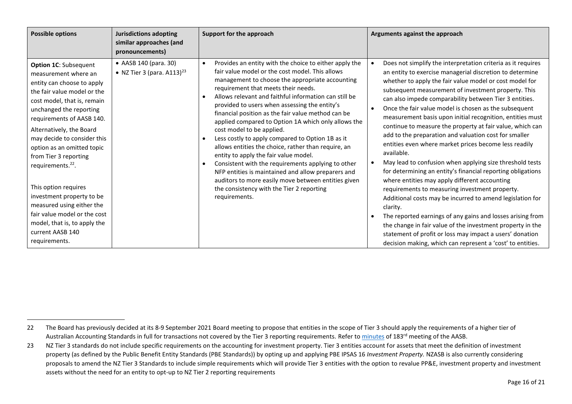| <b>Possible options</b>                                                                                                                                                                                                                                                                                                                                                                                                                                                                                                                            | <b>Jurisdictions adopting</b><br>similar approaches (and<br>pronouncements) | Support for the approach                                                                                                                                                                                                                                                                                                                                                                                                                                                                                                                                                                                                                                                                                                                                                                                                                                                            | Arguments against the approach                                                                                                                                                                                                                                                                                                                                                                                                                                                                                                                                                                                                                                                                                                                                                                                                                                                                                                                                                                                                                                                                                                                                                       |
|----------------------------------------------------------------------------------------------------------------------------------------------------------------------------------------------------------------------------------------------------------------------------------------------------------------------------------------------------------------------------------------------------------------------------------------------------------------------------------------------------------------------------------------------------|-----------------------------------------------------------------------------|-------------------------------------------------------------------------------------------------------------------------------------------------------------------------------------------------------------------------------------------------------------------------------------------------------------------------------------------------------------------------------------------------------------------------------------------------------------------------------------------------------------------------------------------------------------------------------------------------------------------------------------------------------------------------------------------------------------------------------------------------------------------------------------------------------------------------------------------------------------------------------------|--------------------------------------------------------------------------------------------------------------------------------------------------------------------------------------------------------------------------------------------------------------------------------------------------------------------------------------------------------------------------------------------------------------------------------------------------------------------------------------------------------------------------------------------------------------------------------------------------------------------------------------------------------------------------------------------------------------------------------------------------------------------------------------------------------------------------------------------------------------------------------------------------------------------------------------------------------------------------------------------------------------------------------------------------------------------------------------------------------------------------------------------------------------------------------------|
| <b>Option 1C: Subsequent</b><br>measurement where an<br>entity can choose to apply<br>the fair value model or the<br>cost model, that is, remain<br>unchanged the reporting<br>requirements of AASB 140.<br>Alternatively, the Board<br>may decide to consider this<br>option as an omitted topic<br>from Tier 3 reporting<br>requirements. <sup>22</sup> .<br>This option requires<br>investment property to be<br>measured using either the<br>fair value model or the cost<br>model, that is, to apply the<br>current AASB 140<br>requirements. | • AASB 140 (para. 30)<br>• NZ Tier 3 (para. $A113$ ) <sup>23</sup>          | Provides an entity with the choice to either apply the<br>$\bullet$<br>fair value model or the cost model. This allows<br>management to choose the appropriate accounting<br>requirement that meets their needs.<br>Allows relevant and faithful information can still be<br>provided to users when assessing the entity's<br>financial position as the fair value method can be<br>applied compared to Option 1A which only allows the<br>cost model to be applied.<br>Less costly to apply compared to Option 1B as it<br>$\bullet$<br>allows entities the choice, rather than require, an<br>entity to apply the fair value model.<br>Consistent with the requirements applying to other<br>$\bullet$<br>NFP entities is maintained and allow preparers and<br>auditors to more easily move between entities given<br>the consistency with the Tier 2 reporting<br>requirements. | Does not simplify the interpretation criteria as it requires<br>an entity to exercise managerial discretion to determine<br>whether to apply the fair value model or cost model for<br>subsequent measurement of investment property. This<br>can also impede comparability between Tier 3 entities.<br>Once the fair value model is chosen as the subsequent<br>measurement basis upon initial recognition, entities must<br>continue to measure the property at fair value, which can<br>add to the preparation and valuation cost for smaller<br>entities even where market prices become less readily<br>available.<br>May lead to confusion when applying size threshold tests<br>for determining an entity's financial reporting obligations<br>where entities may apply different accounting<br>requirements to measuring investment property.<br>Additional costs may be incurred to amend legislation for<br>clarity.<br>The reported earnings of any gains and losses arising from<br>the change in fair value of the investment property in the<br>statement of profit or loss may impact a users' donation<br>decision making, which can represent a 'cost' to entities. |

<sup>22</sup> The Board has previously decided at its 8-9 September 2021 Board meeting to propose that entities in the scope of Tier 3 should apply the requirements of a higher tier of Australian Accounting Standards in full for transactions not covered by the Tier 3 reporting requirements. Refer t[o minutes](https://aasb.gov.au/media/5l2ptuyt/approvedaasbminutesm183sept21.pdf) of 183<sup>rd</sup> meeting of the AASB.

<sup>23</sup> NZ Tier 3 standards do not include specific requirements on the accounting for investment property. Tier 3 entities account for assets that meet the definition of investment property (as defined by the Public Benefit Entity Standards (PBE Standards)) by opting up and applying PBE IPSAS 16 *Investment Property.* NZASB is also currently considering proposals to amend the NZ Tier 3 Standards to include simple requirements which will provide Tier 3 entities with the option to revalue PP&E, investment property and investment assets without the need for an entity to opt-up to NZ Tier 2 reporting requirements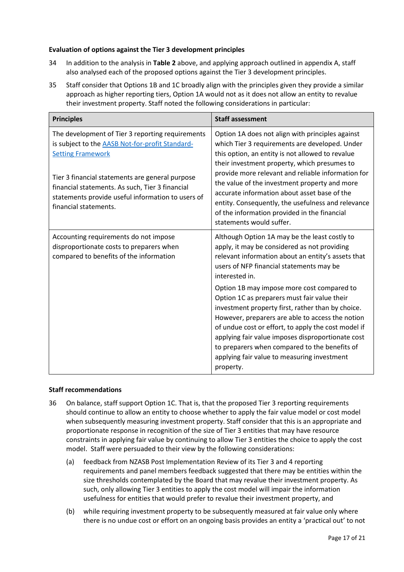### **Evaluation of options against the Tier 3 development principles**

- <span id="page-16-0"></span>34 In addition to the analysis in **[Table 2](#page-13-0)** above, and applying approach outlined in appendix A, staff also analysed each of the proposed options against the Tier 3 development principles.
- 35 Staff consider that Options 1B and 1C broadly align with the principles given they provide a similar approach as higher reporting tiers, Option 1A would not as it does not allow an entity to revalue their investment property. Staff noted the following considerations in particular:

<span id="page-16-1"></span>

| <b>Principles</b>                                                                                                                                                                                                                                                                                                          | <b>Staff assessment</b>                                                                                                                                                                                                                                                                                                                                                                                                                                                                         |
|----------------------------------------------------------------------------------------------------------------------------------------------------------------------------------------------------------------------------------------------------------------------------------------------------------------------------|-------------------------------------------------------------------------------------------------------------------------------------------------------------------------------------------------------------------------------------------------------------------------------------------------------------------------------------------------------------------------------------------------------------------------------------------------------------------------------------------------|
| The development of Tier 3 reporting requirements<br>is subject to the <b>AASB Not-for-profit Standard-</b><br><b>Setting Framework</b><br>Tier 3 financial statements are general purpose<br>financial statements. As such, Tier 3 financial<br>statements provide useful information to users of<br>financial statements. | Option 1A does not align with principles against<br>which Tier 3 requirements are developed. Under<br>this option, an entity is not allowed to revalue<br>their investment property, which presumes to<br>provide more relevant and reliable information for<br>the value of the investment property and more<br>accurate information about asset base of the<br>entity. Consequently, the usefulness and relevance<br>of the information provided in the financial<br>statements would suffer. |
| Accounting requirements do not impose<br>disproportionate costs to preparers when<br>compared to benefits of the information                                                                                                                                                                                               | Although Option 1A may be the least costly to<br>apply, it may be considered as not providing<br>relevant information about an entity's assets that<br>users of NFP financial statements may be<br>interested in.                                                                                                                                                                                                                                                                               |
|                                                                                                                                                                                                                                                                                                                            | Option 1B may impose more cost compared to<br>Option 1C as preparers must fair value their<br>investment property first, rather than by choice.<br>However, preparers are able to access the notion<br>of undue cost or effort, to apply the cost model if<br>applying fair value imposes disproportionate cost<br>to preparers when compared to the benefits of<br>applying fair value to measuring investment<br>property.                                                                    |

#### **Staff recommendations**

- <span id="page-16-2"></span>36 On balance, staff support Option 1C. That is, that the proposed Tier 3 reporting requirements should continue to allow an entity to choose whether to apply the fair value model or cost model when subsequently measuring investment property. Staff consider that this is an appropriate and proportionate response in recognition of the size of Tier 3 entities that may have resource constraints in applying fair value by continuing to allow Tier 3 entities the choice to apply the cost model. Staff were persuaded to their view by the following considerations:
	- (a) feedback from NZASB Post Implementation Review of its Tier 3 and 4 reporting requirements and panel members feedback suggested that there may be entities within the size thresholds contemplated by the Board that may revalue their investment property. As such, only allowing Tier 3 entities to apply the cost model will impair the information usefulness for entities that would prefer to revalue their investment property, and
	- (b) while requiring investment property to be subsequently measured at fair value only where there is no undue cost or effort on an ongoing basis provides an entity a 'practical out' to not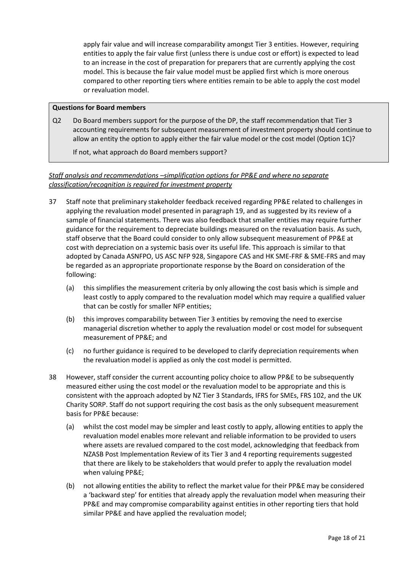<span id="page-17-2"></span>apply fair value and will increase comparability amongst Tier 3 entities. However, requiring entities to apply the fair value first (unless there is undue cost or effort) is expected to lead to an increase in the cost of preparation for preparers that are currently applying the cost model. This is because the fair value model must be applied first which is more onerous compared to other reporting tiers where entities remain to be able to apply the cost model or revaluation model.

#### **Questions for Board members**

Q2 Do Board members support for the purpose of the DP, the staff recommendation that Tier 3 accounting requirements for subsequent measurement of investment property should continue to allow an entity the option to apply either the fair value model or the cost model (Option 1C)?

If not, what approach do Board members support?

## *Staff analysis and recommendations –simplification options for PP&E and where no separate classification/recognition is required for investment property*

- <span id="page-17-0"></span>37 Staff note that preliminary stakeholder feedback received regarding PP&E related to challenges in applying the revaluation model presented in paragraph [19,](#page-4-1) and as suggested by its review of a sample of financial statements. There was also feedback that smaller entities may require further guidance for the requirement to depreciate buildings measured on the revaluation basis. As such, staff observe that the Board could consider to only allow subsequent measurement of PP&E at cost with depreciation on a systemic basis over its useful life. This approach is similar to that adopted by Canada ASNFPO, US ASC NFP 928, Singapore CAS and HK SME-FRF & SME-FRS and may be regarded as an appropriate proportionate response by the Board on consideration of the following:
	- (a) this simplifies the measurement criteria by only allowing the cost basis which is simple and least costly to apply compared to the revaluation model which may require a qualified valuer that can be costly for smaller NFP entities;
	- (b) this improves comparability between Tier 3 entities by removing the need to exercise managerial discretion whether to apply the revaluation model or cost model for subsequent measurement of PP&E; and
	- (c) no further guidance is required to be developed to clarify depreciation requirements when the revaluation model is applied as only the cost model is permitted.
- <span id="page-17-1"></span>38 However, staff consider the current accounting policy choice to allow PP&E to be subsequently measured either using the cost model or the revaluation model to be appropriate and this is consistent with the approach adopted by NZ Tier 3 Standards, IFRS for SMEs, FRS 102, and the UK Charity SORP. Staff do not support requiring the cost basis as the only subsequent measurement basis for PP&E because:
	- (a) whilst the cost model may be simpler and least costly to apply, allowing entities to apply the revaluation model enables more relevant and reliable information to be provided to users where assets are revalued compared to the cost model, acknowledging that feedback from NZASB Post Implementation Review of its Tier 3 and 4 reporting requirements suggested that there are likely to be stakeholders that would prefer to apply the revaluation model when valuing PP&E;
	- (b) not allowing entities the ability to reflect the market value for their PP&E may be considered a 'backward step' for entities that already apply the revaluation model when measuring their PP&E and may compromise comparability against entities in other reporting tiers that hold similar PP&E and have applied the revaluation model;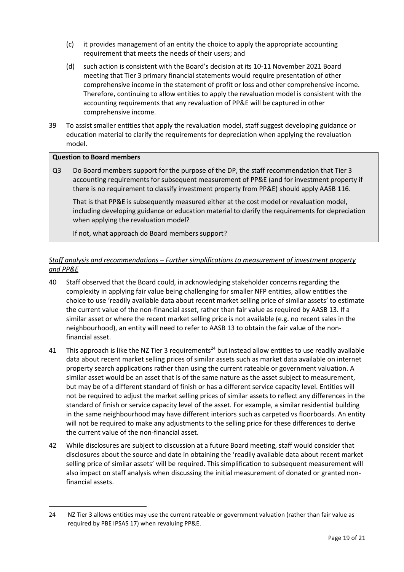- <span id="page-18-2"></span>(c) it provides management of an entity the choice to apply the appropriate accounting requirement that meets the needs of their users; and
- (d) such action is consistent with the Board's decision at its 10-11 November 2021 Board meeting that Tier 3 primary financial statements would require presentation of other comprehensive income in the statement of profit or loss and other comprehensive income. Therefore, continuing to allow entities to apply the revaluation model is consistent with the accounting requirements that any revaluation of PP&E will be captured in other comprehensive income.
- <span id="page-18-0"></span>39 To assist smaller entities that apply the revaluation model, staff suggest developing guidance or education material to clarify the requirements for depreciation when applying the revaluation model.

#### **Question to Board members**

Q3 Do Board members support for the purpose of the DP, the staff recommendation that Tier 3 accounting requirements for subsequent measurement of PP&E (and for investment property if there is no requirement to classify investment property from PP&E) should apply AASB 116.

That is that PP&E is subsequently measured either at the cost model or revaluation model, including developing guidance or education material to clarify the requirements for depreciation when applying the revaluation model?

If not, what approach do Board members support?

## *Staff analysis and recommendations – Further simplifications to measurement of investment property and PP&E*

- <span id="page-18-1"></span>40 Staff observed that the Board could, in acknowledging stakeholder concerns regarding the complexity in applying fair value being challenging for smaller NFP entities, allow entities the choice to use 'readily available data about recent market selling price of similar assets' to estimate the current value of the non-financial asset, rather than fair value as required by AASB 13. If a similar asset or where the recent market selling price is not available (e.g. no recent sales in the neighbourhood), an entity will need to refer to AASB 13 to obtain the fair value of the nonfinancial asset.
- 41 This approach is like the NZ Tier 3 requirements<sup>24</sup> but instead allow entities to use readily available data about recent market selling prices of similar assets such as market data available on internet property search applications rather than using the current rateable or government valuation. A similar asset would be an asset that is of the same nature as the asset subject to measurement, but may be of a different standard of finish or has a different service capacity level. Entities will not be required to adjust the market selling prices of similar assets to reflect any differences in the standard of finish or service capacity level of the asset. For example, a similar residential building in the same neighbourhood may have different interiors such as carpeted vs floorboards. An entity will not be required to make any adjustments to the selling price for these differences to derive the current value of the non-financial asset.
- 42 While disclosures are subject to discussion at a future Board meeting, staff would consider that disclosures about the source and date in obtaining the 'readily available data about recent market selling price of similar assets' will be required. This simplification to subsequent measurement will also impact on staff analysis when discussing the initial measurement of donated or granted nonfinancial assets.

<sup>24</sup> NZ Tier 3 allows entities may use the current rateable or government valuation (rather than fair value as required by PBE IPSAS 17) when revaluing PP&E.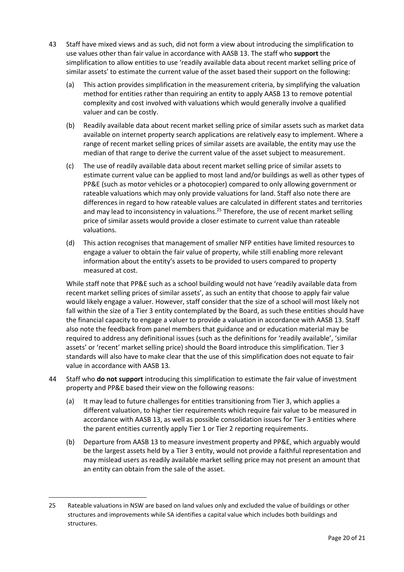- 43 Staff have mixed views and as such, did not form a view about introducing the simplification to use values other than fair value in accordance with AASB 13. The staff who **support** the simplification to allow entities to use 'readily available data about recent market selling price of similar assets' to estimate the current value of the asset based their support on the following:
	- (a) This action provides simplification in the measurement criteria, by simplifying the valuation method for entities rather than requiring an entity to apply AASB 13 to remove potential complexity and cost involved with valuations which would generally involve a qualified valuer and can be costly.
	- (b) Readily available data about recent market selling price of similar assets such as market data available on internet property search applications are relatively easy to implement. Where a range of recent market selling prices of similar assets are available, the entity may use the median of that range to derive the current value of the asset subject to measurement.
	- (c) The use of readily available data about recent market selling price of similar assets to estimate current value can be applied to most land and/or buildings as well as other types of PP&E (such as motor vehicles or a photocopier) compared to only allowing government or rateable valuations which may only provide valuations for land. Staff also note there are differences in regard to how rateable values are calculated in different states and territories and may lead to inconsistency in valuations.<sup>25</sup> Therefore, the use of recent market selling price of similar assets would provide a closer estimate to current value than rateable valuations.
	- (d) This action recognises that management of smaller NFP entities have limited resources to engage a valuer to obtain the fair value of property, while still enabling more relevant information about the entity's assets to be provided to users compared to property measured at cost.

While staff note that PP&E such as a school building would not have 'readily available data from recent market selling prices of similar assets', as such an entity that choose to apply fair value would likely engage a valuer. However, staff consider that the size of a school will most likely not fall within the size of a Tier 3 entity contemplated by the Board, as such these entities should have the financial capacity to engage a valuer to provide a valuation in accordance with AASB 13. Staff also note the feedback from panel members that guidance and or education material may be required to address any definitional issues (such as the definitions for 'readily available', 'similar assets' or 'recent' market selling price) should the Board introduce this simplification. Tier 3 standards will also have to make clear that the use of this simplification does not equate to fair value in accordance with AASB 13*.* 

- <span id="page-19-0"></span>44 Staff who **do not support** introducing this simplification to estimate the fair value of investment property and PP&E based their view on the following reasons:
	- (a) It may lead to future challenges for entities transitioning from Tier 3, which applies a different valuation, to higher tier requirements which require fair value to be measured in accordance with AASB 13, as well as possible consolidation issues for Tier 3 entities where the parent entities currently apply Tier 1 or Tier 2 reporting requirements.
	- (b) Departure from AASB 13 to measure investment property and PP&E, which arguably would be the largest assets held by a Tier 3 entity, would not provide a faithful representation and may mislead users as readily available market selling price may not present an amount that an entity can obtain from the sale of the asset.

<sup>25</sup> Rateable valuations in NSW are based on land values only and excluded the value of buildings or other structures and improvements while SA identifies a capital value which includes both buildings and structures.